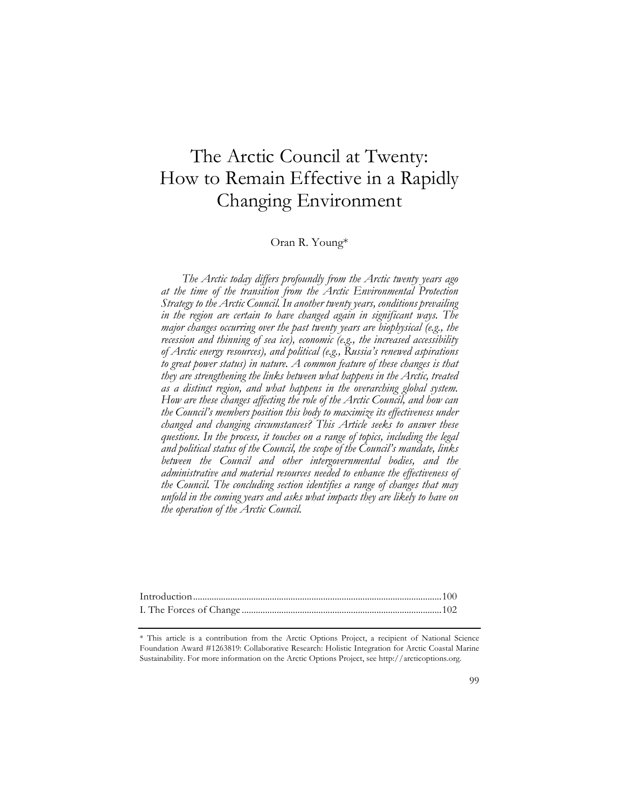# The Arctic Council at Twenty: How to Remain Effective in a Rapidly Changing Environment

# Oran R. Young\*

*The Arctic today differs profoundly from the Arctic twenty years ago at the time of the transition from the Arctic Environmental Protection Strategy to the Arctic Council. In another twenty years, conditions prevailing in the region are certain to have changed again in significant ways. The major changes occurring over the past twenty years are biophysical (e.g., the recession and thinning of sea ice), economic (e.g., the increased accessibility of Arctic energy resources), and political (e.g., Russia's renewed aspirations to great power status) in nature. A common feature of these changes is that they are strengthening the links between what happens in the Arctic, treated as a distinct region, and what happens in the overarching global system. How are these changes affecting the role of the Arctic Council, and how can the Council's members position this body to maximize its effectiveness under changed and changing circumstances? This Article seeks to answer these questions. In the process, it touches on a range of topics, including the legal and political status of the Council, the scope of the Council's mandate, links between the Council and other intergovernmental bodies, and the administrative and material resources needed to enhance the effectiveness of the Council. The concluding section identifies a range of changes that may unfold in the coming years and asks what impacts they are likely to have on the operation of the Arctic Council.*

\* This article is a contribution from the Arctic Options Project, a recipient of National Science Foundation Award #1263819: Collaborative Research: Holistic Integration for Arctic Coastal Marine Sustainability. For more information on the Arctic Options Project, see http://arcticoptions.org.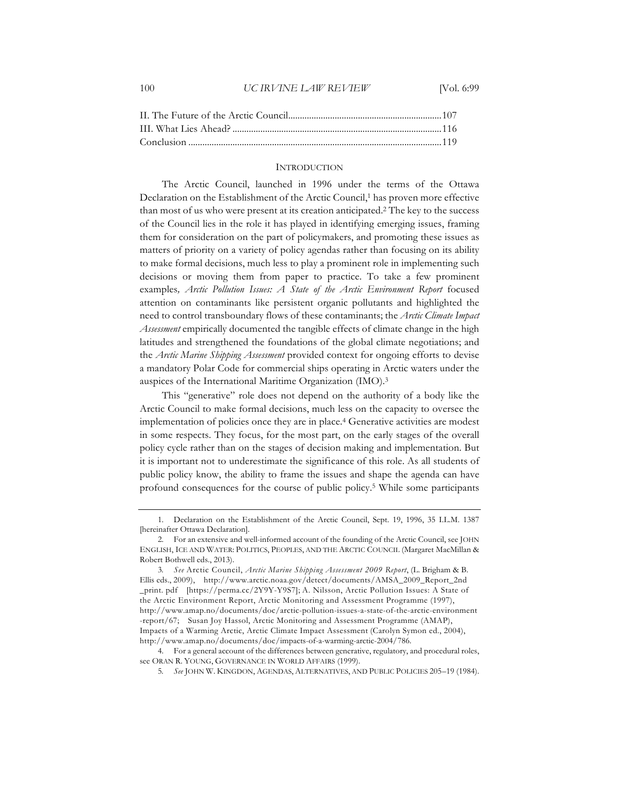# 100 *UC IRVINE LAW REVIEW* [Vol. 6:99

#### **INTRODUCTION**

The Arctic Council, launched in 1996 under the terms of the Ottawa Declaration on the Establishment of the Arctic Council,<sup>1</sup> has proven more effective than most of us who were present at its creation anticipated.2 The key to the success of the Council lies in the role it has played in identifying emerging issues, framing them for consideration on the part of policymakers, and promoting these issues as matters of priority on a variety of policy agendas rather than focusing on its ability to make formal decisions, much less to play a prominent role in implementing such decisions or moving them from paper to practice. To take a few prominent examples*, Arctic Pollution Issues: A State of the Arctic Environment Report* focused attention on contaminants like persistent organic pollutants and highlighted the need to control transboundary flows of these contaminants; the *Arctic Climate Impact Assessment* empirically documented the tangible effects of climate change in the high latitudes and strengthened the foundations of the global climate negotiations; and the *Arctic Marine Shipping Assessment* provided context for ongoing efforts to devise a mandatory Polar Code for commercial ships operating in Arctic waters under the auspices of the International Maritime Organization (IMO).3

This "generative" role does not depend on the authority of a body like the Arctic Council to make formal decisions, much less on the capacity to oversee the implementation of policies once they are in place.4 Generative activities are modest in some respects. They focus, for the most part, on the early stages of the overall policy cycle rather than on the stages of decision making and implementation. But it is important not to underestimate the significance of this role. As all students of public policy know, the ability to frame the issues and shape the agenda can have profound consequences for the course of public policy.5 While some participants

<sup>1.</sup> Declaration on the Establishment of the Arctic Council, Sept. 19, 1996, 35 I.L.M. 1387 [hereinafter Ottawa Declaration].

<sup>2.</sup> For an extensive and well-informed account of the founding of the Arctic Council, see JOHN ENGLISH, ICE AND WATER: POLITICS, PEOPLES, AND THE ARCTIC COUNCIL (Margaret MacMillan & Robert Bothwell eds., 2013).

<sup>3</sup>*. See* Arctic Council, *Arctic Marine Shipping Assessment 2009 Report*, (L. Brigham & B. Ellis eds., 2009), http://www.arctic.noaa.gov/detect/documents/AMSA\_2009\_Report\_2nd \_print. pdf [https://perma.cc/2Y9Y-Y9S7]; A. Nilsson, Arctic Pollution Issues: A State of the Arctic Environment Report, Arctic Monitoring and Assessment Programme (1997), http://www.amap.no/documents/doc/arctic-pollution-issues-a-state-of-the-arctic-environment -report/67; Susan Joy Hassol, Arctic Monitoring and Assessment Programme (AMAP), Impacts of a Warming Arctic, Arctic Climate Impact Assessment (Carolyn Symon ed., 2004), http://www.amap.no/documents/doc/impacts-of-a-warming-arctic-2004/786.

<sup>4.</sup> For a general account of the differences between generative, regulatory, and procedural roles, see ORAN R. YOUNG, GOVERNANCE IN WORLD AFFAIRS (1999).

<sup>5</sup>*. See* JOHN W. KINGDON, AGENDAS, ALTERNATIVES, AND PUBLIC POLICIES 205–19 (1984).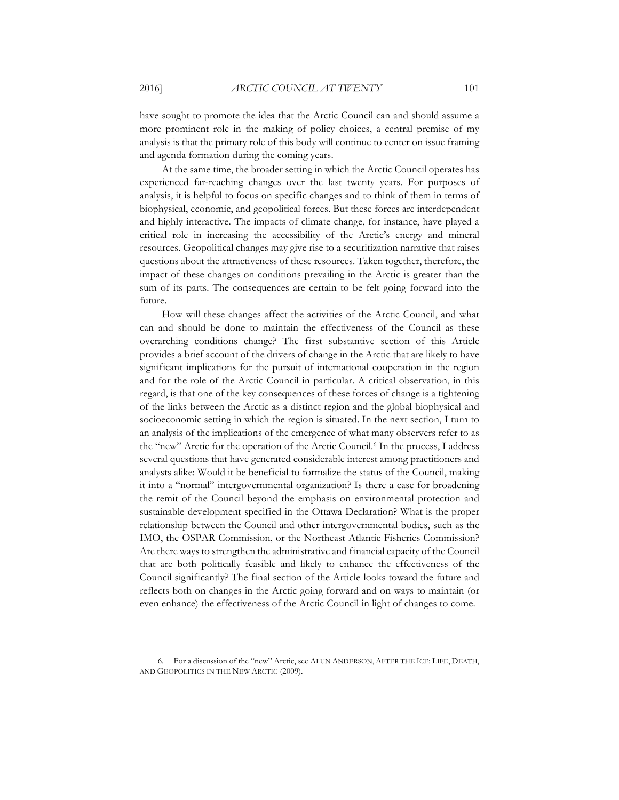have sought to promote the idea that the Arctic Council can and should assume a more prominent role in the making of policy choices, a central premise of my analysis is that the primary role of this body will continue to center on issue framing and agenda formation during the coming years.

At the same time, the broader setting in which the Arctic Council operates has experienced far-reaching changes over the last twenty years. For purposes of analysis, it is helpful to focus on specific changes and to think of them in terms of biophysical, economic, and geopolitical forces. But these forces are interdependent and highly interactive. The impacts of climate change, for instance, have played a critical role in increasing the accessibility of the Arctic's energy and mineral resources. Geopolitical changes may give rise to a securitization narrative that raises questions about the attractiveness of these resources. Taken together, therefore, the impact of these changes on conditions prevailing in the Arctic is greater than the sum of its parts. The consequences are certain to be felt going forward into the future.

How will these changes affect the activities of the Arctic Council, and what can and should be done to maintain the effectiveness of the Council as these overarching conditions change? The first substantive section of this Article provides a brief account of the drivers of change in the Arctic that are likely to have significant implications for the pursuit of international cooperation in the region and for the role of the Arctic Council in particular. A critical observation, in this regard, is that one of the key consequences of these forces of change is a tightening of the links between the Arctic as a distinct region and the global biophysical and socioeconomic setting in which the region is situated. In the next section, I turn to an analysis of the implications of the emergence of what many observers refer to as the "new" Arctic for the operation of the Arctic Council.6 In the process, I address several questions that have generated considerable interest among practitioners and analysts alike: Would it be beneficial to formalize the status of the Council, making it into a "normal" intergovernmental organization? Is there a case for broadening the remit of the Council beyond the emphasis on environmental protection and sustainable development specified in the Ottawa Declaration? What is the proper relationship between the Council and other intergovernmental bodies, such as the IMO, the OSPAR Commission, or the Northeast Atlantic Fisheries Commission? Are there ways to strengthen the administrative and financial capacity of the Council that are both politically feasible and likely to enhance the effectiveness of the Council significantly? The final section of the Article looks toward the future and reflects both on changes in the Arctic going forward and on ways to maintain (or even enhance) the effectiveness of the Arctic Council in light of changes to come.

<sup>6.</sup> For a discussion of the "new" Arctic, see ALUN ANDERSON, AFTER THE ICE: LIFE, DEATH, AND GEOPOLITICS IN THE NEW ARCTIC (2009).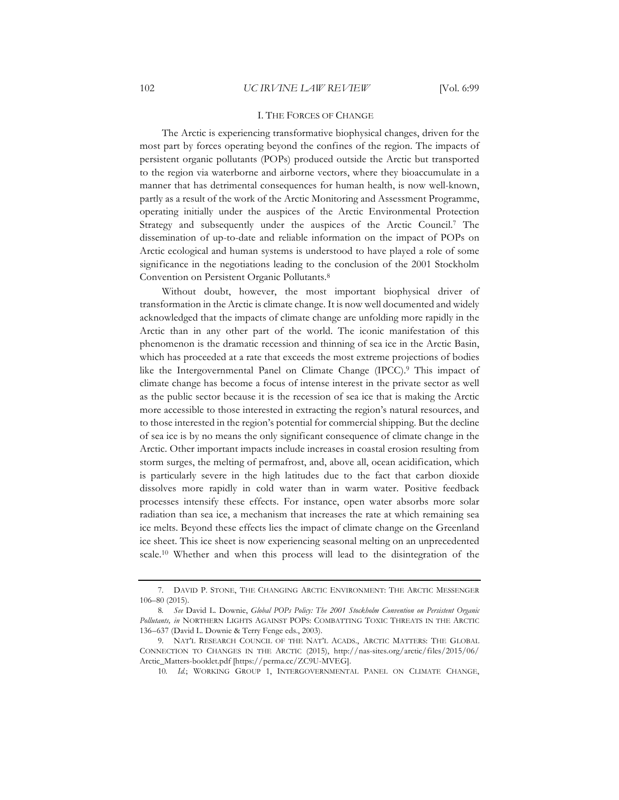## I. THE FORCES OF CHANGE

The Arctic is experiencing transformative biophysical changes, driven for the most part by forces operating beyond the confines of the region. The impacts of persistent organic pollutants (POPs) produced outside the Arctic but transported to the region via waterborne and airborne vectors, where they bioaccumulate in a manner that has detrimental consequences for human health, is now well-known, partly as a result of the work of the Arctic Monitoring and Assessment Programme, operating initially under the auspices of the Arctic Environmental Protection Strategy and subsequently under the auspices of the Arctic Council.7 The dissemination of up-to-date and reliable information on the impact of POPs on Arctic ecological and human systems is understood to have played a role of some significance in the negotiations leading to the conclusion of the 2001 Stockholm Convention on Persistent Organic Pollutants.8

Without doubt, however, the most important biophysical driver of transformation in the Arctic is climate change. It is now well documented and widely acknowledged that the impacts of climate change are unfolding more rapidly in the Arctic than in any other part of the world. The iconic manifestation of this phenomenon is the dramatic recession and thinning of sea ice in the Arctic Basin, which has proceeded at a rate that exceeds the most extreme projections of bodies like the Intergovernmental Panel on Climate Change (IPCC).9 This impact of climate change has become a focus of intense interest in the private sector as well as the public sector because it is the recession of sea ice that is making the Arctic more accessible to those interested in extracting the region's natural resources, and to those interested in the region's potential for commercial shipping. But the decline of sea ice is by no means the only significant consequence of climate change in the Arctic. Other important impacts include increases in coastal erosion resulting from storm surges, the melting of permafrost, and, above all, ocean acidification, which is particularly severe in the high latitudes due to the fact that carbon dioxide dissolves more rapidly in cold water than in warm water. Positive feedback processes intensify these effects. For instance, open water absorbs more solar radiation than sea ice, a mechanism that increases the rate at which remaining sea ice melts. Beyond these effects lies the impact of climate change on the Greenland ice sheet. This ice sheet is now experiencing seasonal melting on an unprecedented scale.10 Whether and when this process will lead to the disintegration of the

<sup>7.</sup> DAVID P. STONE, THE CHANGING ARCTIC ENVIRONMENT: THE ARCTIC MESSENGER 106–80 (2015).

<sup>8</sup>*. See* David L. Downie, *Global POPs Policy: The 2001 Stockholm Convention on Persistent Organic Pollutants, in* NORTHERN LIGHTS AGAINST POPS: COMBATTING TOXIC THREATS IN THE ARCTIC 136–637 (David L. Downie & Terry Fenge eds., 2003).

<sup>9.</sup> NAT'L RESEARCH COUNCIL OF THE NAT'L ACADS., ARCTIC MATTERS: THE GLOBAL CONNECTION TO CHANGES IN THE ARCTIC (2015), http://nas-sites.org/arctic/files/2015/06/ Arctic\_Matters-booklet.pdf [https://perma.cc/ZC9U-MVEG].

<sup>10</sup>*. Id.*; WORKING GROUP 1, INTERGOVERNMENTAL PANEL ON CLIMATE CHANGE,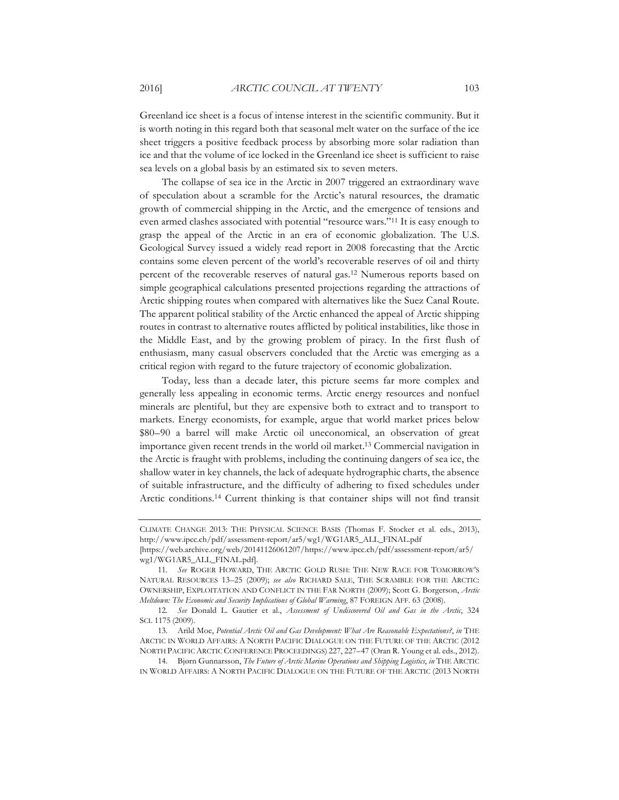Greenland ice sheet is a focus of intense interest in the scientific community. But it is worth noting in this regard both that seasonal melt water on the surface of the ice sheet triggers a positive feedback process by absorbing more solar radiation than ice and that the volume of ice locked in the Greenland ice sheet is sufficient to raise sea levels on a global basis by an estimated six to seven meters.

The collapse of sea ice in the Arctic in 2007 triggered an extraordinary wave of speculation about a scramble for the Arctic's natural resources, the dramatic growth of commercial shipping in the Arctic, and the emergence of tensions and even armed clashes associated with potential "resource wars."11 It is easy enough to grasp the appeal of the Arctic in an era of economic globalization. The U.S. Geological Survey issued a widely read report in 2008 forecasting that the Arctic contains some eleven percent of the world's recoverable reserves of oil and thirty percent of the recoverable reserves of natural gas.12 Numerous reports based on simple geographical calculations presented projections regarding the attractions of Arctic shipping routes when compared with alternatives like the Suez Canal Route. The apparent political stability of the Arctic enhanced the appeal of Arctic shipping routes in contrast to alternative routes afflicted by political instabilities, like those in the Middle East, and by the growing problem of piracy. In the first flush of enthusiasm, many casual observers concluded that the Arctic was emerging as a critical region with regard to the future trajectory of economic globalization.

Today, less than a decade later, this picture seems far more complex and generally less appealing in economic terms. Arctic energy resources and nonfuel minerals are plentiful, but they are expensive both to extract and to transport to markets. Energy economists, for example, argue that world market prices below \$80–90 a barrel will make Arctic oil uneconomical, an observation of great importance given recent trends in the world oil market.13 Commercial navigation in the Arctic is fraught with problems, including the continuing dangers of sea ice, the shallow water in key channels, the lack of adequate hydrographic charts, the absence of suitable infrastructure, and the difficulty of adhering to fixed schedules under Arctic conditions.14 Current thinking is that container ships will not find transit

CLIMATE CHANGE 2013: THE PHYSICAL SCIENCE BASIS (Thomas F. Stocker et al. eds., 2013), http://www.ipcc.ch/pdf/assessment-report/ar5/wg1/WG1AR5\_ALL\_FINAL.pdf

<sup>[</sup>https://web.archive.org/web/20141126061207/https://www.ipcc.ch/pdf/assessment-report/ar5/ wg1/WG1AR5\_ALL\_FINAL.pdf].

<sup>11</sup>*. See* ROGER HOWARD, THE ARCTIC GOLD RUSH: THE NEW RACE FOR TOMORROW'S NATURAL RESOURCES 13–25 (2009); *see also* RICHARD SALE, THE SCRAMBLE FOR THE ARCTIC: OWNERSHIP, EXPLOITATION AND CONFLICT IN THE FAR NORTH (2009); Scott G. Borgerson, *Arctic Meltdown: The Economic and Security Implications of Global Warming*, 87 FOREIGN AFF. 63 (2008).

<sup>12</sup>*. See* Donald L. Gautier et al., *Assessment of Undiscovered Oil and Gas in the Arctic*, 324 SCI. 1175 (2009).

<sup>13.</sup> Arild Moe, *Potential Arctic Oil and Gas Development: What Are Reasonable Expectations?*, *in* THE ARCTIC IN WORLD AFFAIRS: A NORTH PACIFIC DIALOGUE ON THE FUTURE OF THE ARCTIC (2012 NORTH PACIFIC ARCTIC CONFERENCE PROCEEDINGS) 227, 227–47 (Oran R. Young et al. eds., 2012).

<sup>14.</sup> Bjørn Gunnarsson, *The Future of Arctic Marine Operations and Shipping Logistics*, *in* THE ARCTIC IN WORLD AFFAIRS: A NORTH PACIFIC DIALOGUE ON THE FUTURE OF THE ARCTIC (2013 NORTH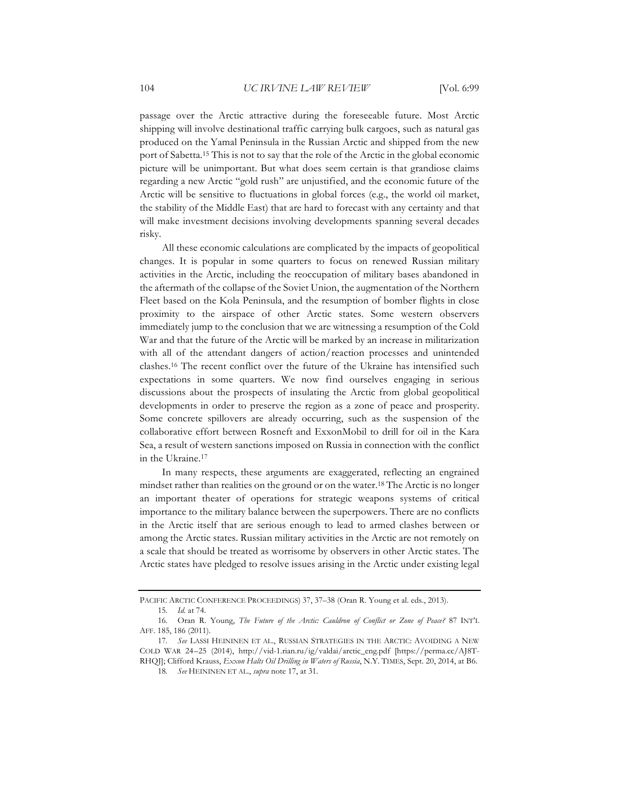passage over the Arctic attractive during the foreseeable future. Most Arctic shipping will involve destinational traffic carrying bulk cargoes, such as natural gas produced on the Yamal Peninsula in the Russian Arctic and shipped from the new port of Sabetta.15 This is not to say that the role of the Arctic in the global economic picture will be unimportant. But what does seem certain is that grandiose claims regarding a new Arctic "gold rush" are unjustified, and the economic future of the Arctic will be sensitive to fluctuations in global forces (e.g., the world oil market, the stability of the Middle East) that are hard to forecast with any certainty and that will make investment decisions involving developments spanning several decades risky.

All these economic calculations are complicated by the impacts of geopolitical changes. It is popular in some quarters to focus on renewed Russian military activities in the Arctic, including the reoccupation of military bases abandoned in the aftermath of the collapse of the Soviet Union, the augmentation of the Northern Fleet based on the Kola Peninsula, and the resumption of bomber flights in close proximity to the airspace of other Arctic states. Some western observers immediately jump to the conclusion that we are witnessing a resumption of the Cold War and that the future of the Arctic will be marked by an increase in militarization with all of the attendant dangers of action/reaction processes and unintended clashes.16 The recent conflict over the future of the Ukraine has intensified such expectations in some quarters. We now find ourselves engaging in serious discussions about the prospects of insulating the Arctic from global geopolitical developments in order to preserve the region as a zone of peace and prosperity. Some concrete spillovers are already occurring, such as the suspension of the collaborative effort between Rosneft and ExxonMobil to drill for oil in the Kara Sea, a result of western sanctions imposed on Russia in connection with the conflict in the Ukraine.17

In many respects, these arguments are exaggerated, reflecting an engrained mindset rather than realities on the ground or on the water.18 The Arctic is no longer an important theater of operations for strategic weapons systems of critical importance to the military balance between the superpowers. There are no conflicts in the Arctic itself that are serious enough to lead to armed clashes between or among the Arctic states. Russian military activities in the Arctic are not remotely on a scale that should be treated as worrisome by observers in other Arctic states. The Arctic states have pledged to resolve issues arising in the Arctic under existing legal

PACIFIC ARCTIC CONFERENCE PROCEEDINGS) 37, 37–38 (Oran R. Young et al. eds., 2013).

<sup>15</sup>*. Id.* at 74.

<sup>16.</sup> Oran R. Young, *The Future of the Arctic: Cauldron of Conflict or Zone of Peace?* 87 INT'L AFF. 185, 186 (2011).

<sup>17</sup>*. See* LASSI HEININEN ET AL., RUSSIAN STRATEGIES IN THE ARCTIC: AVOIDING A NEW COLD WAR 24–25 (2014), http://vid-1.rian.ru/ig/valdai/arctic\_eng.pdf [https://perma.cc/AJ8T-RHQJ]; Clifford Krauss, *Exxon Halts Oil Drilling in Waters of Russia*, N.Y. TIMES, Sept. 20, 2014, at B6.

<sup>18</sup>*. See* HEININEN ET AL., *supra* note 17, at 31.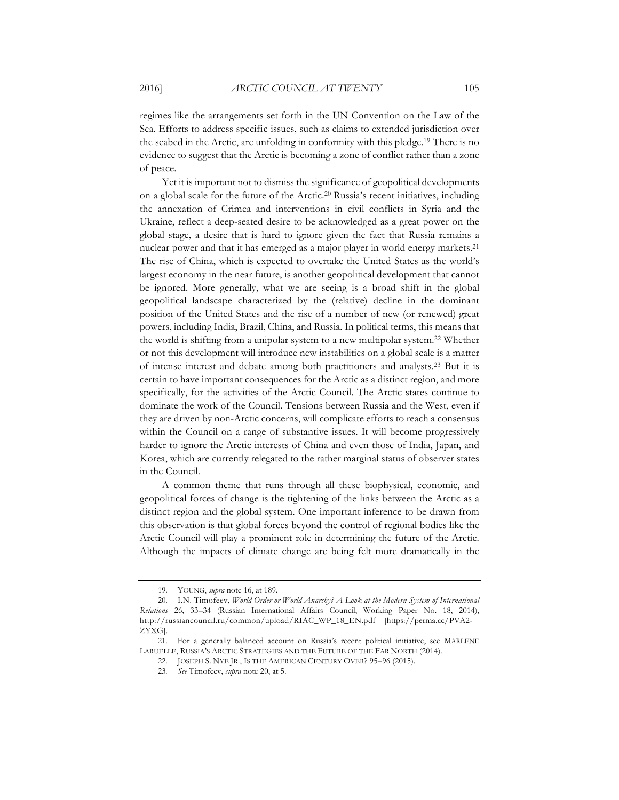regimes like the arrangements set forth in the UN Convention on the Law of the Sea. Efforts to address specific issues, such as claims to extended jurisdiction over the seabed in the Arctic, are unfolding in conformity with this pledge.19 There is no evidence to suggest that the Arctic is becoming a zone of conflict rather than a zone of peace.

Yet it is important not to dismiss the significance of geopolitical developments on a global scale for the future of the Arctic.20 Russia's recent initiatives, including the annexation of Crimea and interventions in civil conflicts in Syria and the Ukraine, reflect a deep-seated desire to be acknowledged as a great power on the global stage, a desire that is hard to ignore given the fact that Russia remains a nuclear power and that it has emerged as a major player in world energy markets.21 The rise of China, which is expected to overtake the United States as the world's largest economy in the near future, is another geopolitical development that cannot be ignored. More generally, what we are seeing is a broad shift in the global geopolitical landscape characterized by the (relative) decline in the dominant position of the United States and the rise of a number of new (or renewed) great powers, including India, Brazil, China, and Russia. In political terms, this means that the world is shifting from a unipolar system to a new multipolar system.22 Whether or not this development will introduce new instabilities on a global scale is a matter of intense interest and debate among both practitioners and analysts.23 But it is certain to have important consequences for the Arctic as a distinct region, and more specifically, for the activities of the Arctic Council. The Arctic states continue to dominate the work of the Council. Tensions between Russia and the West, even if they are driven by non-Arctic concerns, will complicate efforts to reach a consensus within the Council on a range of substantive issues. It will become progressively harder to ignore the Arctic interests of China and even those of India, Japan, and Korea, which are currently relegated to the rather marginal status of observer states in the Council.

A common theme that runs through all these biophysical, economic, and geopolitical forces of change is the tightening of the links between the Arctic as a distinct region and the global system. One important inference to be drawn from this observation is that global forces beyond the control of regional bodies like the Arctic Council will play a prominent role in determining the future of the Arctic. Although the impacts of climate change are being felt more dramatically in the

<sup>19.</sup> YOUNG, *supra* note 16, at 189.

<sup>20.</sup> I.N. Timofeev, *World Order or World Anarchy? A Look at the Modern System of International Relations* 26, 33–34 (Russian International Affairs Council, Working Paper No. 18, 2014), http://russiancouncil.ru/common/upload/RIAC\_WP\_18\_EN.pdf [https://perma.cc/PVA2- ZYXG].

<sup>21.</sup> For a generally balanced account on Russia's recent political initiative, see MARLENE LARUELLE, RUSSIA'S ARCTIC STRATEGIES AND THE FUTURE OF THE FAR NORTH (2014).

<sup>22.</sup> JOSEPH S. NYE JR., IS THE AMERICAN CENTURY OVER? 95–96 (2015).

<sup>23</sup>*. See* Timofeev, *supra* note 20, at 5.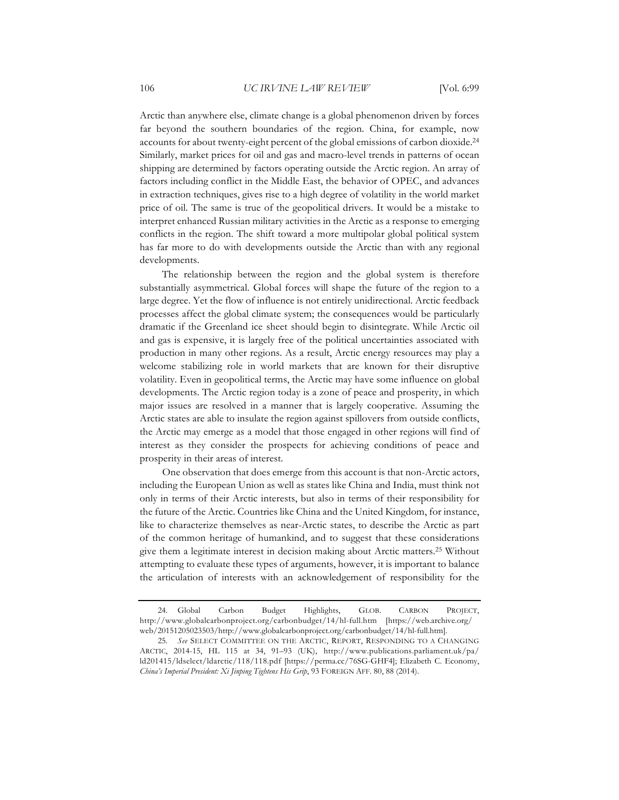Arctic than anywhere else, climate change is a global phenomenon driven by forces far beyond the southern boundaries of the region. China, for example, now accounts for about twenty-eight percent of the global emissions of carbon dioxide.24 Similarly, market prices for oil and gas and macro-level trends in patterns of ocean shipping are determined by factors operating outside the Arctic region. An array of factors including conflict in the Middle East, the behavior of OPEC, and advances in extraction techniques, gives rise to a high degree of volatility in the world market price of oil. The same is true of the geopolitical drivers. It would be a mistake to interpret enhanced Russian military activities in the Arctic as a response to emerging conflicts in the region. The shift toward a more multipolar global political system has far more to do with developments outside the Arctic than with any regional developments.

The relationship between the region and the global system is therefore substantially asymmetrical. Global forces will shape the future of the region to a large degree. Yet the flow of influence is not entirely unidirectional. Arctic feedback processes affect the global climate system; the consequences would be particularly dramatic if the Greenland ice sheet should begin to disintegrate. While Arctic oil and gas is expensive, it is largely free of the political uncertainties associated with production in many other regions. As a result, Arctic energy resources may play a welcome stabilizing role in world markets that are known for their disruptive volatility. Even in geopolitical terms, the Arctic may have some influence on global developments. The Arctic region today is a zone of peace and prosperity, in which major issues are resolved in a manner that is largely cooperative. Assuming the Arctic states are able to insulate the region against spillovers from outside conflicts, the Arctic may emerge as a model that those engaged in other regions will find of interest as they consider the prospects for achieving conditions of peace and prosperity in their areas of interest.

One observation that does emerge from this account is that non-Arctic actors, including the European Union as well as states like China and India, must think not only in terms of their Arctic interests, but also in terms of their responsibility for the future of the Arctic. Countries like China and the United Kingdom, for instance, like to characterize themselves as near-Arctic states, to describe the Arctic as part of the common heritage of humankind, and to suggest that these considerations give them a legitimate interest in decision making about Arctic matters.25 Without attempting to evaluate these types of arguments, however, it is important to balance the articulation of interests with an acknowledgement of responsibility for the

<sup>24.</sup> Global Carbon Budget Highlights, GLOB. CARBON PROJECT, http://www.globalcarbonproject.org/carbonbudget/14/hl-full.htm [https://web.archive.org/ web/20151205023503/http://www.globalcarbonproject.org/carbonbudget/14/hl-full.htm].

<sup>25</sup>*. See* SELECT COMMITTEE ON THE ARCTIC, REPORT, RESPONDING TO A CHANGING ARCTIC, 2014-15, HL 115 at 34, 91–93 (UK), http://www.publications.parliament.uk/pa/ ld201415/ldselect/ldarctic/118/118.pdf [https://perma.cc/76SG-GHF4]; Elizabeth C. Economy, *China's Imperial President: Xi Jinping Tightens His Grip*, 93 FOREIGN AFF. 80, 88 (2014).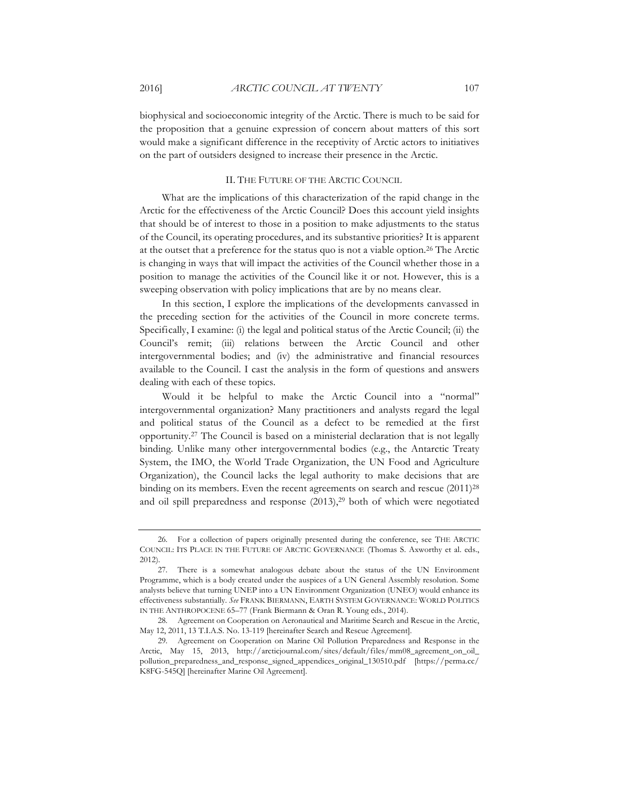biophysical and socioeconomic integrity of the Arctic. There is much to be said for the proposition that a genuine expression of concern about matters of this sort would make a significant difference in the receptivity of Arctic actors to initiatives on the part of outsiders designed to increase their presence in the Arctic.

#### II. THE FUTURE OF THE ARCTIC COUNCIL

What are the implications of this characterization of the rapid change in the Arctic for the effectiveness of the Arctic Council? Does this account yield insights that should be of interest to those in a position to make adjustments to the status of the Council, its operating procedures, and its substantive priorities? It is apparent at the outset that a preference for the status quo is not a viable option.<sup>26</sup> The Arctic is changing in ways that will impact the activities of the Council whether those in a position to manage the activities of the Council like it or not. However, this is a sweeping observation with policy implications that are by no means clear.

In this section, I explore the implications of the developments canvassed in the preceding section for the activities of the Council in more concrete terms. Specifically, I examine: (i) the legal and political status of the Arctic Council; (ii) the Council's remit; (iii) relations between the Arctic Council and other intergovernmental bodies; and (iv) the administrative and financial resources available to the Council. I cast the analysis in the form of questions and answers dealing with each of these topics.

Would it be helpful to make the Arctic Council into a "normal" intergovernmental organization? Many practitioners and analysts regard the legal and political status of the Council as a defect to be remedied at the first opportunity.27 The Council is based on a ministerial declaration that is not legally binding. Unlike many other intergovernmental bodies (e.g., the Antarctic Treaty System, the IMO, the World Trade Organization, the UN Food and Agriculture Organization), the Council lacks the legal authority to make decisions that are binding on its members. Even the recent agreements on search and rescue (2011)<sup>28</sup> and oil spill preparedness and response  $(2013)$ ,<sup>29</sup> both of which were negotiated

<sup>26.</sup> For a collection of papers originally presented during the conference, see THE ARCTIC COUNCIL: ITS PLACE IN THE FUTURE OF ARCTIC GOVERNANCE (Thomas S. Axworthy et al. eds., 2012).

<sup>27.</sup> There is a somewhat analogous debate about the status of the UN Environment Programme, which is a body created under the auspices of a UN General Assembly resolution. Some analysts believe that turning UNEP into a UN Environment Organization (UNEO) would enhance its effectiveness substantially. *See* FRANK BIERMANN, EARTH SYSTEM GOVERNANCE: WORLD POLITICS IN THE ANTHROPOCENE 65–77 (Frank Biermann & Oran R. Young eds., 2014).

<sup>28.</sup> Agreement on Cooperation on Aeronautical and Maritime Search and Rescue in the Arctic, May 12, 2011, 13 T.I.A.S. No. 13-119 [hereinafter Search and Rescue Agreement].

<sup>29.</sup> Agreement on Cooperation on Marine Oil Pollution Preparedness and Response in the Arctic, May 15, 2013, http://arcticjournal.com/sites/default/files/mm08\_agreement\_on\_oil\_ pollution\_preparedness\_and\_response\_signed\_appendices\_original\_130510.pdf [https://perma.cc/ K8FG-545Q] [hereinafter Marine Oil Agreement].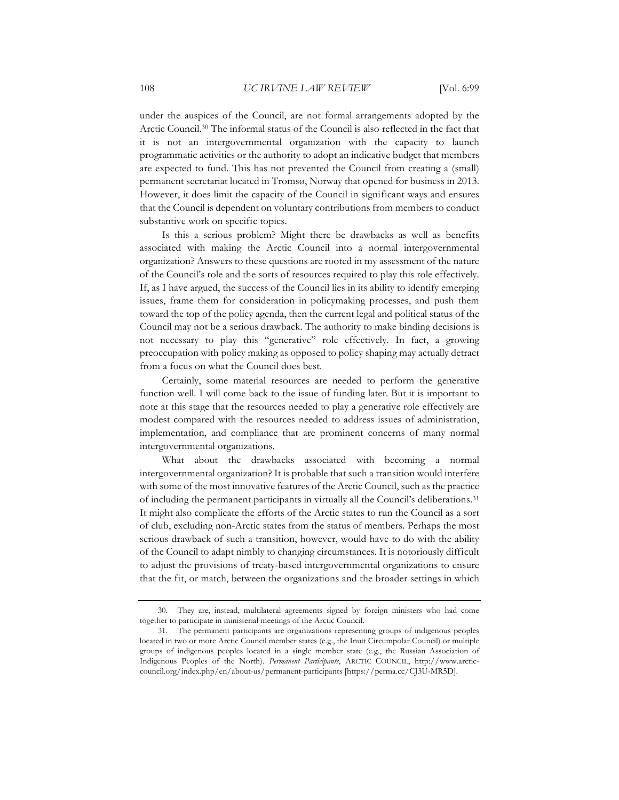under the auspices of the Council, are not formal arrangements adopted by the Arctic Council.30 The informal status of the Council is also reflected in the fact that it is not an intergovernmental organization with the capacity to launch programmatic activities or the authority to adopt an indicative budget that members are expected to fund. This has not prevented the Council from creating a (small) permanent secretariat located in Tromsø, Norway that opened for business in 2013. However, it does limit the capacity of the Council in significant ways and ensures that the Council is dependent on voluntary contributions from members to conduct substantive work on specific topics.

Is this a serious problem? Might there be drawbacks as well as benefits associated with making the Arctic Council into a normal intergovernmental organization? Answers to these questions are rooted in my assessment of the nature of the Council's role and the sorts of resources required to play this role effectively. If, as I have argued, the success of the Council lies in its ability to identify emerging issues, frame them for consideration in policymaking processes, and push them toward the top of the policy agenda, then the current legal and political status of the Council may not be a serious drawback. The authority to make binding decisions is not necessary to play this "generative" role effectively. In fact, a growing preoccupation with policy making as opposed to policy shaping may actually detract from a focus on what the Council does best.

Certainly, some material resources are needed to perform the generative function well. I will come back to the issue of funding later. But it is important to note at this stage that the resources needed to play a generative role effectively are modest compared with the resources needed to address issues of administration, implementation, and compliance that are prominent concerns of many normal intergovernmental organizations.

What about the drawbacks associated with becoming a normal intergovernmental organization? It is probable that such a transition would interfere with some of the most innovative features of the Arctic Council, such as the practice of including the permanent participants in virtually all the Council's deliberations.31 It might also complicate the efforts of the Arctic states to run the Council as a sort of club, excluding non-Arctic states from the status of members. Perhaps the most serious drawback of such a transition, however, would have to do with the ability of the Council to adapt nimbly to changing circumstances. It is notoriously difficult to adjust the provisions of treaty-based intergovernmental organizations to ensure that the fit, or match, between the organizations and the broader settings in which

<sup>30.</sup> They are, instead, multilateral agreements signed by foreign ministers who had come together to participate in ministerial meetings of the Arctic Council.

<sup>31.</sup> The permanent participants are organizations representing groups of indigenous peoples located in two or more Arctic Council member states (e.g., the Inuit Circumpolar Council) or multiple groups of indigenous peoples located in a single member state (e.g., the Russian Association of Indigenous Peoples of the North). *Permanent Participants*, ARCTIC COUNCIL, http://www.arcticcouncil.org/index.php/en/about-us/permanent-participants [https://perma.cc/CJ3U-MR5D].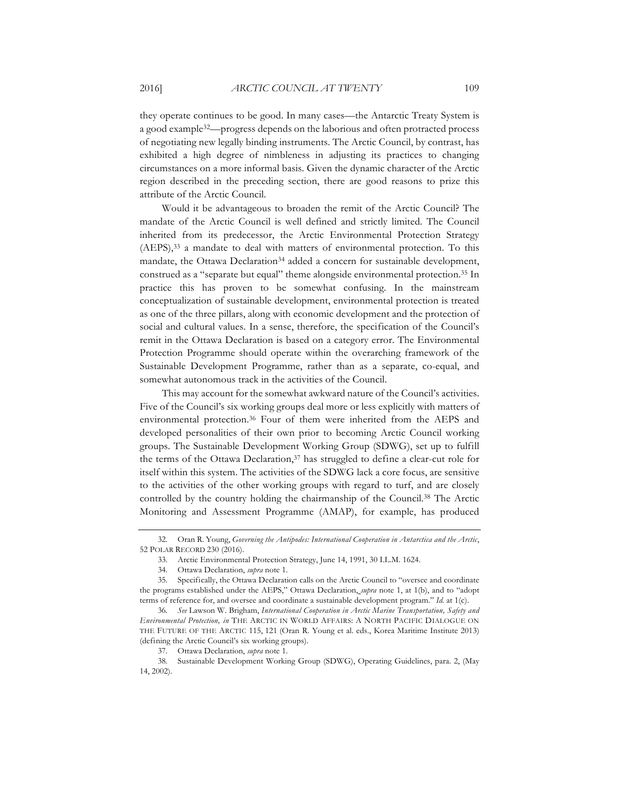they operate continues to be good. In many cases—the Antarctic Treaty System is a good example32—progress depends on the laborious and often protracted process of negotiating new legally binding instruments. The Arctic Council, by contrast, has exhibited a high degree of nimbleness in adjusting its practices to changing circumstances on a more informal basis. Given the dynamic character of the Arctic region described in the preceding section, there are good reasons to prize this attribute of the Arctic Council.

Would it be advantageous to broaden the remit of the Arctic Council? The mandate of the Arctic Council is well defined and strictly limited. The Council inherited from its predecessor, the Arctic Environmental Protection Strategy (AEPS),33 a mandate to deal with matters of environmental protection. To this mandate, the Ottawa Declaration<sup>34</sup> added a concern for sustainable development, construed as a "separate but equal" theme alongside environmental protection.35 In practice this has proven to be somewhat confusing. In the mainstream conceptualization of sustainable development, environmental protection is treated as one of the three pillars, along with economic development and the protection of social and cultural values. In a sense, therefore, the specification of the Council's remit in the Ottawa Declaration is based on a category error. The Environmental Protection Programme should operate within the overarching framework of the Sustainable Development Programme, rather than as a separate, co-equal, and somewhat autonomous track in the activities of the Council.

This may account for the somewhat awkward nature of the Council's activities. Five of the Council's six working groups deal more or less explicitly with matters of environmental protection.36 Four of them were inherited from the AEPS and developed personalities of their own prior to becoming Arctic Council working groups. The Sustainable Development Working Group (SDWG), set up to fulfill the terms of the Ottawa Declaration, $37$  has struggled to define a clear-cut role for itself within this system. The activities of the SDWG lack a core focus, are sensitive to the activities of the other working groups with regard to turf, and are closely controlled by the country holding the chairmanship of the Council.<sup>38</sup> The Arctic Monitoring and Assessment Programme (AMAP), for example, has produced

<sup>32.</sup> Oran R. Young, *Governing the Antipodes: International Cooperation in Antarctica and the Arctic*, 52 POLAR RECORD 230 (2016).

<sup>33.</sup> Arctic Environmental Protection Strategy, June 14, 1991, 30 I.L.M. 1624.

<sup>34.</sup> Ottawa Declaration, *supra* note 1.

<sup>35.</sup> Specifically, the Ottawa Declaration calls on the Arctic Council to "oversee and coordinate the programs established under the AEPS," Ottawa Declaration, *supra* note 1, at 1(b), and to "adopt terms of reference for, and oversee and coordinate a sustainable development program." *Id.* at 1(c).

<sup>36</sup>*. See* Lawson W. Brigham, *International Cooperation in Arctic Marine Transportation, Safety and Environmental Protection, in* THE ARCTIC IN WORLD AFFAIRS: A NORTH PACIFIC DIALOGUE ON THE FUTURE OF THE ARCTIC 115, 121 (Oran R. Young et al. eds., Korea Maritime Institute 2013) (defining the Arctic Council's six working groups).

<sup>37.</sup> Ottawa Declaration, *supra* note 1.

<sup>38.</sup> Sustainable Development Working Group (SDWG), Operating Guidelines, para. 2, (May 14, 2002).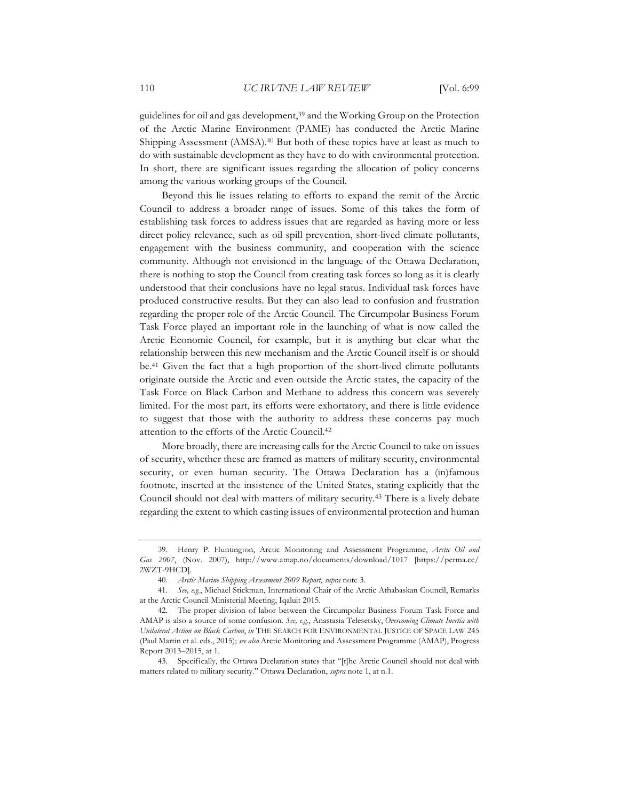guidelines for oil and gas development,<sup>39</sup> and the Working Group on the Protection of the Arctic Marine Environment (PAME) has conducted the Arctic Marine Shipping Assessment (AMSA). <sup>40</sup> But both of these topics have at least as much to do with sustainable development as they have to do with environmental protection. In short, there are significant issues regarding the allocation of policy concerns among the various working groups of the Council.

Beyond this lie issues relating to efforts to expand the remit of the Arctic Council to address a broader range of issues. Some of this takes the form of establishing task forces to address issues that are regarded as having more or less direct policy relevance, such as oil spill prevention, short-lived climate pollutants, engagement with the business community, and cooperation with the science community. Although not envisioned in the language of the Ottawa Declaration, there is nothing to stop the Council from creating task forces so long as it is clearly understood that their conclusions have no legal status. Individual task forces have produced constructive results. But they can also lead to confusion and frustration regarding the proper role of the Arctic Council. The Circumpolar Business Forum Task Force played an important role in the launching of what is now called the Arctic Economic Council, for example, but it is anything but clear what the relationship between this new mechanism and the Arctic Council itself is or should be.41 Given the fact that a high proportion of the short-lived climate pollutants originate outside the Arctic and even outside the Arctic states, the capacity of the Task Force on Black Carbon and Methane to address this concern was severely limited. For the most part, its efforts were exhortatory, and there is little evidence to suggest that those with the authority to address these concerns pay much attention to the efforts of the Arctic Council.42

More broadly, there are increasing calls for the Arctic Council to take on issues of security, whether these are framed as matters of military security, environmental security, or even human security. The Ottawa Declaration has a (in)famous footnote, inserted at the insistence of the United States, stating explicitly that the Council should not deal with matters of military security.43 There is a lively debate regarding the extent to which casting issues of environmental protection and human

<sup>39.</sup> Henry P. Huntington, Arctic Monitoring and Assessment Programme, *Arctic Oil and Gas 2007*, (Nov. 2007), http://www.amap.no/documents/download/1017 [https://perma.cc/ 2WZT-9HCD].

<sup>40</sup>*. Arctic Marine Shipping Assessment 2009 Report*, *supra* note 3.

<sup>41</sup>*. See, e.g.*, Michael Stickman, International Chair of the Arctic Athabaskan Council, Remarks at the Arctic Council Ministerial Meeting, Iqaluit 2015.

<sup>42.</sup> The proper division of labor between the Circumpolar Business Forum Task Force and AMAP is also a source of some confusion. *See, e.g.*, Anastasia Telesetsky, *Overcoming Climate Inertia with Unilateral Action on Black Carbon*, *in* THE SEARCH FOR ENVIRONMENTAL JUSTICE OF SPACE LAW 245 (Paul Martin et al. eds., 2015); *see also* Arctic Monitoring and Assessment Programme (AMAP), Progress Report 2013–2015, at 1.

<sup>43.</sup> Specifically, the Ottawa Declaration states that "[t]he Arctic Council should not deal with matters related to military security." Ottawa Declaration, *supra* note 1, at n.1.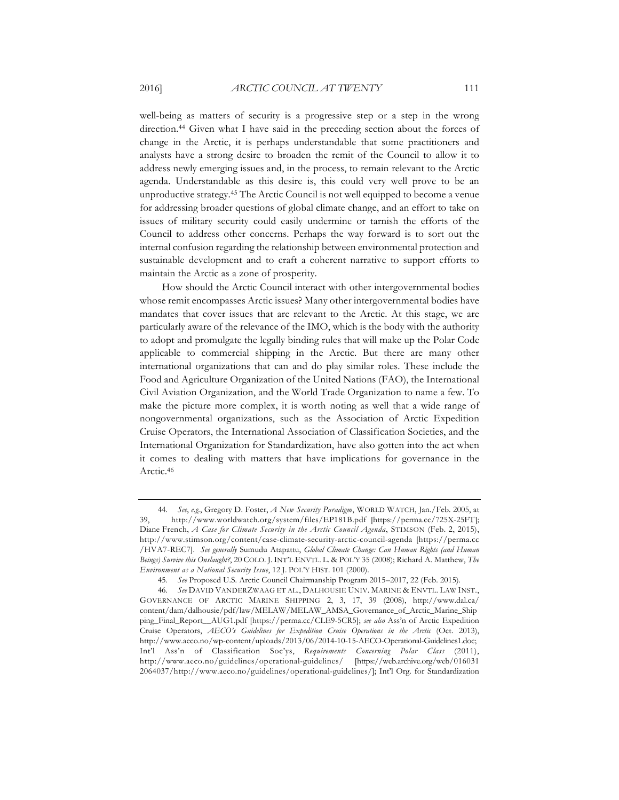well-being as matters of security is a progressive step or a step in the wrong direction.44 Given what I have said in the preceding section about the forces of change in the Arctic, it is perhaps understandable that some practitioners and analysts have a strong desire to broaden the remit of the Council to allow it to address newly emerging issues and, in the process, to remain relevant to the Arctic agenda. Understandable as this desire is, this could very well prove to be an unproductive strategy.45 The Arctic Council is not well equipped to become a venue for addressing broader questions of global climate change, and an effort to take on issues of military security could easily undermine or tarnish the efforts of the Council to address other concerns. Perhaps the way forward is to sort out the internal confusion regarding the relationship between environmental protection and

sustainable development and to craft a coherent narrative to support efforts to

maintain the Arctic as a zone of prosperity.

How should the Arctic Council interact with other intergovernmental bodies whose remit encompasses Arctic issues? Many other intergovernmental bodies have mandates that cover issues that are relevant to the Arctic. At this stage, we are particularly aware of the relevance of the IMO, which is the body with the authority to adopt and promulgate the legally binding rules that will make up the Polar Code applicable to commercial shipping in the Arctic. But there are many other international organizations that can and do play similar roles. These include the Food and Agriculture Organization of the United Nations (FAO), the International Civil Aviation Organization, and the World Trade Organization to name a few. To make the picture more complex, it is worth noting as well that a wide range of nongovernmental organizations, such as the Association of Arctic Expedition Cruise Operators, the International Association of Classification Societies, and the International Organization for Standardization, have also gotten into the act when it comes to dealing with matters that have implications for governance in the Arctic.<sup>46</sup>

<sup>44</sup>*. See*, *e.g.*, Gregory D. Foster, *A New Security Paradigm*, WORLD WATCH, Jan./Feb. 2005, at 39, http://www.worldwatch.org/system/files/EP181B.pdf [https://perma.cc/725X-25FT]; Diane French, *A Case for Climate Security in the Arctic Council Agenda*, STIMSON (Feb. 2, 2015), http://www.stimson.org/content/case-climate-security-arctic-council-agenda [https://perma.cc /HVA7-REC7]. *See generally* Sumudu Atapattu, *Global Climate Change: Can Human Rights (and Human Beings) Survive this Onslaught?*, 20 COLO. J. INT'L ENVTL. L. & POL'Y 35 (2008); Richard A. Matthew, *The Environment as a National Security Issue*, 12 J. POL'Y HIST. 101 (2000).

<sup>45</sup>*. See* Proposed U.S. Arctic Council Chairmanship Program 2015–2017, 22 (Feb. 2015).

<sup>46</sup>*. See* DAVID VANDERZWAAG ET AL., DALHOUSIE UNIV. MARINE & ENVTL. LAW INST., GOVERNANCE OF ARCTIC MARINE SHIPPING 2, 3, 17, 39 (2008), http://www.dal.ca/ content/dam/dalhousie/pdf/law/MELAW/MELAW\_AMSA\_Governance\_of\_Arctic\_Marine\_Ship ping\_Final\_Report\_\_AUG1.pdf [https://perma.cc/CLE9-5CR5]; *see also* Ass'n of Arctic Expedition Cruise Operators, *AECO's Guidelines for Expedition Cruise Operations in the Arctic* (Oct. 2013), http://www.aeco.no/wp-content/uploads/2013/06/2014-10-15-AECO-Operational-Guidelines1.doc; Int'l Ass'n of Classification Soc'ys, *Requirements Concerning Polar Class* (2011), http://www.aeco.no/guidelines/operational-guidelines/ [https://web.archive.org/web/016031 2064037/http://www.aeco.no/guidelines/operational-guidelines/]; Int'l Org. for Standardization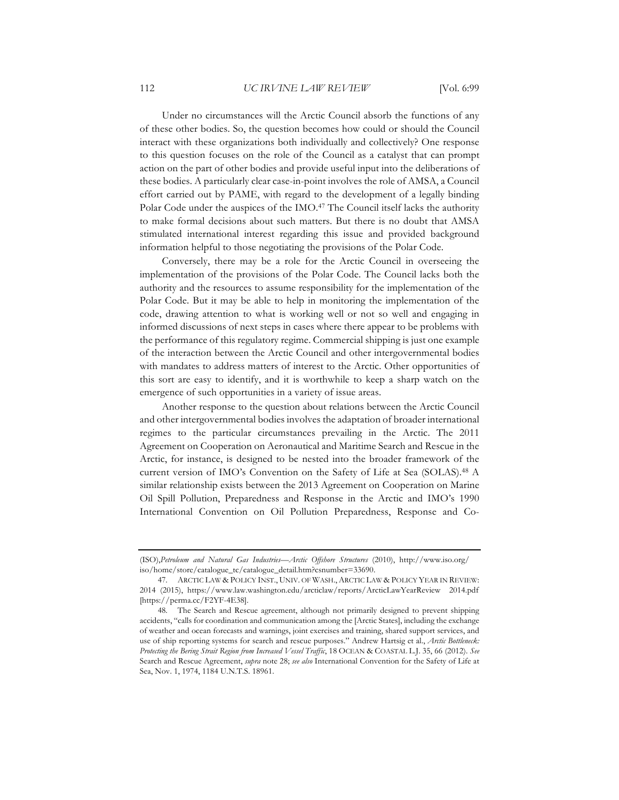Under no circumstances will the Arctic Council absorb the functions of any of these other bodies. So, the question becomes how could or should the Council interact with these organizations both individually and collectively? One response to this question focuses on the role of the Council as a catalyst that can prompt action on the part of other bodies and provide useful input into the deliberations of these bodies. A particularly clear case-in-point involves the role of AMSA, a Council effort carried out by PAME, with regard to the development of a legally binding Polar Code under the auspices of the IMO.47 The Council itself lacks the authority to make formal decisions about such matters. But there is no doubt that AMSA stimulated international interest regarding this issue and provided background information helpful to those negotiating the provisions of the Polar Code.

Conversely, there may be a role for the Arctic Council in overseeing the implementation of the provisions of the Polar Code. The Council lacks both the authority and the resources to assume responsibility for the implementation of the Polar Code. But it may be able to help in monitoring the implementation of the code, drawing attention to what is working well or not so well and engaging in informed discussions of next steps in cases where there appear to be problems with the performance of this regulatory regime. Commercial shipping is just one example of the interaction between the Arctic Council and other intergovernmental bodies with mandates to address matters of interest to the Arctic. Other opportunities of this sort are easy to identify, and it is worthwhile to keep a sharp watch on the emergence of such opportunities in a variety of issue areas.

Another response to the question about relations between the Arctic Council and other intergovernmental bodies involves the adaptation of broader international regimes to the particular circumstances prevailing in the Arctic. The 2011 Agreement on Cooperation on Aeronautical and Maritime Search and Rescue in the Arctic, for instance, is designed to be nested into the broader framework of the current version of IMO's Convention on the Safety of Life at Sea (SOLAS).48 A similar relationship exists between the 2013 Agreement on Cooperation on Marine Oil Spill Pollution, Preparedness and Response in the Arctic and IMO's 1990 International Convention on Oil Pollution Preparedness, Response and Co-

<sup>(</sup>ISO),*Petroleum and Natural Gas Industries—Arctic Offshore Structures* (2010), http://www.iso.org/ iso/home/store/catalogue\_tc/catalogue\_detail.htm?csnumber=33690.

<sup>47.</sup> ARCTIC LAW & POLICY INST., UNIV. OF WASH., ARCTIC LAW & POLICY YEAR IN REVIEW: 2014 (2015), https://www.law.washington.edu/arcticlaw/reports/ArcticLawYearReview 2014.pdf [https://perma.cc/F2YF-4E38].

<sup>48.</sup> The Search and Rescue agreement, although not primarily designed to prevent shipping accidents, "calls for coordination and communication among the [Arctic States], including the exchange of weather and ocean forecasts and warnings, joint exercises and training, shared support services, and use of ship reporting systems for search and rescue purposes." Andrew Hartsig et al., *Arctic Bottleneck: Protecting the Bering Strait Region from Increased Vessel Traffic*, 18 OCEAN & COASTAL L.J. 35, 66 (2012). *See* Search and Rescue Agreement, *supra* note 28; *see also* International Convention for the Safety of Life at Sea, Nov. 1, 1974, 1184 U.N.T.S. 18961.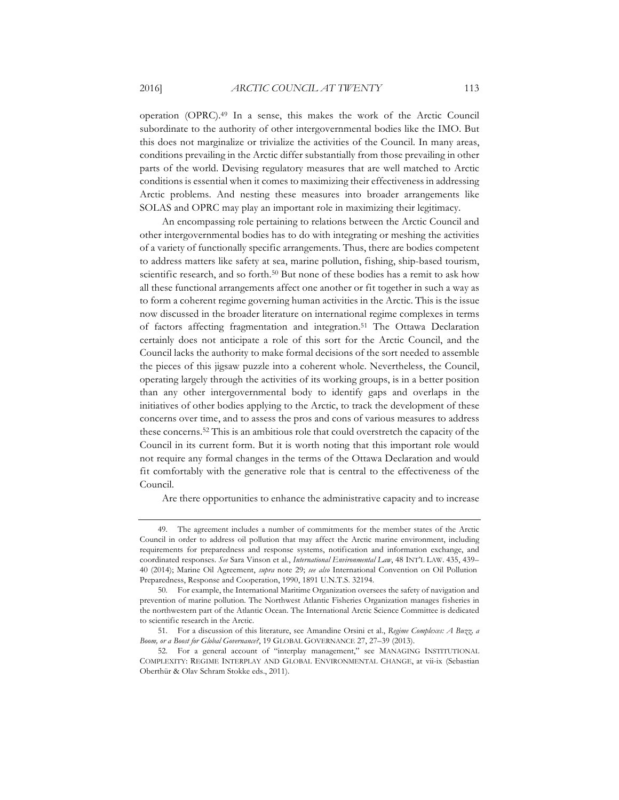operation (OPRC).49 In a sense, this makes the work of the Arctic Council subordinate to the authority of other intergovernmental bodies like the IMO. But this does not marginalize or trivialize the activities of the Council. In many areas, conditions prevailing in the Arctic differ substantially from those prevailing in other parts of the world. Devising regulatory measures that are well matched to Arctic conditions is essential when it comes to maximizing their effectiveness in addressing Arctic problems. And nesting these measures into broader arrangements like SOLAS and OPRC may play an important role in maximizing their legitimacy.

An encompassing role pertaining to relations between the Arctic Council and other intergovernmental bodies has to do with integrating or meshing the activities of a variety of functionally specific arrangements. Thus, there are bodies competent to address matters like safety at sea, marine pollution, fishing, ship-based tourism, scientific research, and so forth.<sup>50</sup> But none of these bodies has a remit to ask how all these functional arrangements affect one another or fit together in such a way as to form a coherent regime governing human activities in the Arctic. This is the issue now discussed in the broader literature on international regime complexes in terms of factors affecting fragmentation and integration.<sup>51</sup> The Ottawa Declaration certainly does not anticipate a role of this sort for the Arctic Council, and the Council lacks the authority to make formal decisions of the sort needed to assemble the pieces of this jigsaw puzzle into a coherent whole. Nevertheless, the Council, operating largely through the activities of its working groups, is in a better position than any other intergovernmental body to identify gaps and overlaps in the initiatives of other bodies applying to the Arctic, to track the development of these concerns over time, and to assess the pros and cons of various measures to address these concerns.52 This is an ambitious role that could overstretch the capacity of the Council in its current form. But it is worth noting that this important role would not require any formal changes in the terms of the Ottawa Declaration and would fit comfortably with the generative role that is central to the effectiveness of the Council.

Are there opportunities to enhance the administrative capacity and to increase

<sup>49.</sup> The agreement includes a number of commitments for the member states of the Arctic Council in order to address oil pollution that may affect the Arctic marine environment, including requirements for preparedness and response systems, notification and information exchange, and coordinated responses. *See* Sara Vinson et al., *International Environmental Law*, 48 INT'L LAW. 435, 439– 40 (2014); Marine Oil Agreement, *supra* note 29; *see also* International Convention on Oil Pollution Preparedness, Response and Cooperation, 1990, 1891 U.N.T.S. 32194.

<sup>50.</sup> For example, the International Maritime Organization oversees the safety of navigation and prevention of marine pollution. The Northwest Atlantic Fisheries Organization manages fisheries in the northwestern part of the Atlantic Ocean. The International Arctic Science Committee is dedicated to scientific research in the Arctic.

<sup>51.</sup> For a discussion of this literature, see Amandine Orsini et al., *Regime Complexes: A Buzz, a Boom, or a Boost for Global Governance?*, 19 GLOBAL GOVERNANCE 27, 27–39 (2013).

<sup>52.</sup> For a general account of "interplay management," see MANAGING INSTITUTIONAL COMPLEXITY: REGIME INTERPLAY AND GLOBAL ENVIRONMENTAL CHANGE, at vii-ix (Sebastian Oberthür & Olav Schram Stokke eds., 2011).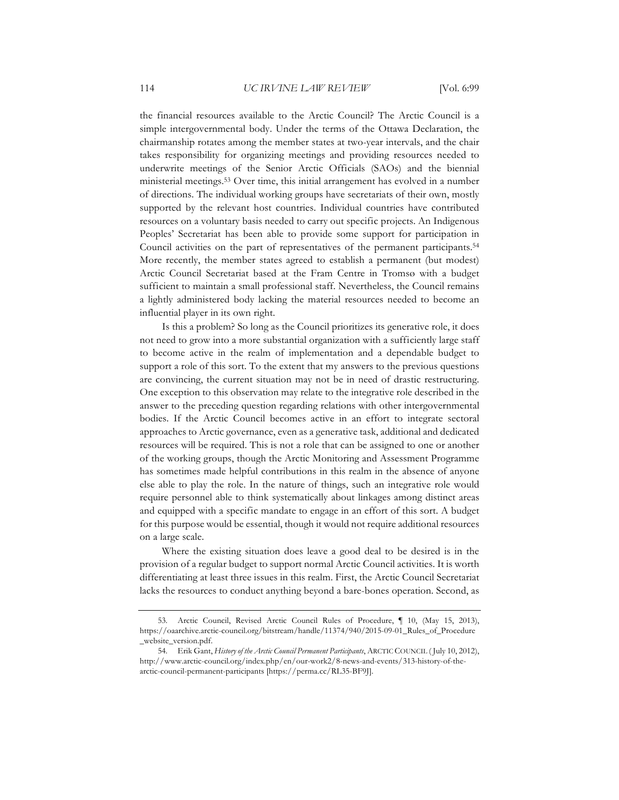the financial resources available to the Arctic Council? The Arctic Council is a simple intergovernmental body. Under the terms of the Ottawa Declaration, the chairmanship rotates among the member states at two-year intervals, and the chair takes responsibility for organizing meetings and providing resources needed to underwrite meetings of the Senior Arctic Officials (SAOs) and the biennial ministerial meetings.53 Over time, this initial arrangement has evolved in a number of directions. The individual working groups have secretariats of their own, mostly supported by the relevant host countries. Individual countries have contributed resources on a voluntary basis needed to carry out specific projects. An Indigenous Peoples' Secretariat has been able to provide some support for participation in Council activities on the part of representatives of the permanent participants.54 More recently, the member states agreed to establish a permanent (but modest) Arctic Council Secretariat based at the Fram Centre in Tromsø with a budget sufficient to maintain a small professional staff. Nevertheless, the Council remains a lightly administered body lacking the material resources needed to become an influential player in its own right.

Is this a problem? So long as the Council prioritizes its generative role, it does not need to grow into a more substantial organization with a sufficiently large staff to become active in the realm of implementation and a dependable budget to support a role of this sort. To the extent that my answers to the previous questions are convincing, the current situation may not be in need of drastic restructuring. One exception to this observation may relate to the integrative role described in the answer to the preceding question regarding relations with other intergovernmental bodies. If the Arctic Council becomes active in an effort to integrate sectoral approaches to Arctic governance, even as a generative task, additional and dedicated resources will be required. This is not a role that can be assigned to one or another of the working groups, though the Arctic Monitoring and Assessment Programme has sometimes made helpful contributions in this realm in the absence of anyone else able to play the role. In the nature of things, such an integrative role would require personnel able to think systematically about linkages among distinct areas and equipped with a specific mandate to engage in an effort of this sort. A budget for this purpose would be essential, though it would not require additional resources on a large scale.

Where the existing situation does leave a good deal to be desired is in the provision of a regular budget to support normal Arctic Council activities. It is worth differentiating at least three issues in this realm. First, the Arctic Council Secretariat lacks the resources to conduct anything beyond a bare-bones operation. Second, as

<sup>53.</sup> Arctic Council, Revised Arctic Council Rules of Procedure, ¶ 10, (May 15, 2013), https://oaarchive.arctic-council.org/bitstream/handle/11374/940/2015-09-01\_Rules\_of\_Procedure \_website\_version.pdf.

<sup>54.</sup> Erik Gant, *History of the Arctic Council Permanent Participants*, ARCTIC COUNCIL ( July 10, 2012), http://www.arctic-council.org/index.php/en/our-work2/8-news-and-events/313-history-of-thearctic-council-permanent-participants [https://perma.cc/RL35-BF9J].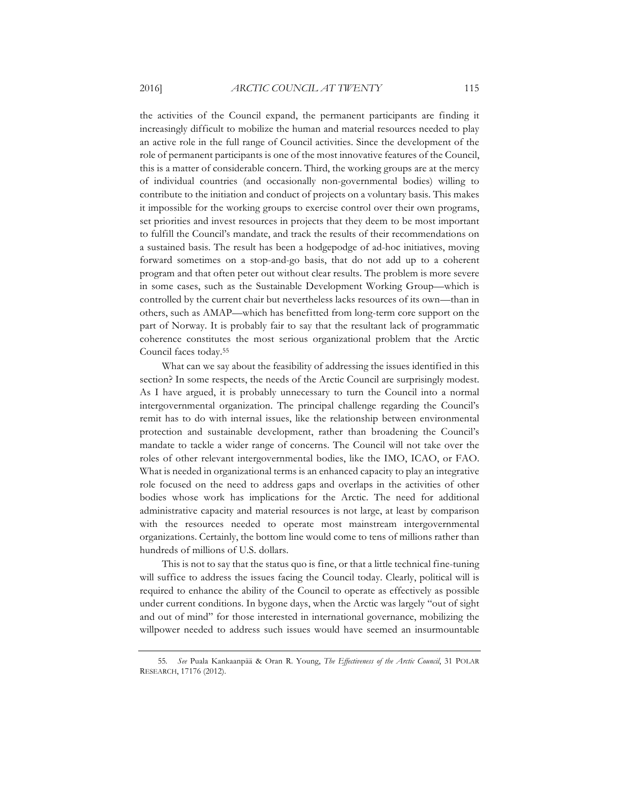the activities of the Council expand, the permanent participants are finding it increasingly difficult to mobilize the human and material resources needed to play an active role in the full range of Council activities. Since the development of the role of permanent participants is one of the most innovative features of the Council, this is a matter of considerable concern. Third, the working groups are at the mercy of individual countries (and occasionally non-governmental bodies) willing to contribute to the initiation and conduct of projects on a voluntary basis. This makes it impossible for the working groups to exercise control over their own programs, set priorities and invest resources in projects that they deem to be most important to fulfill the Council's mandate, and track the results of their recommendations on a sustained basis. The result has been a hodgepodge of ad-hoc initiatives, moving forward sometimes on a stop-and-go basis, that do not add up to a coherent program and that often peter out without clear results. The problem is more severe in some cases, such as the Sustainable Development Working Group—which is controlled by the current chair but nevertheless lacks resources of its own—than in others, such as AMAP—which has benefitted from long-term core support on the part of Norway. It is probably fair to say that the resultant lack of programmatic coherence constitutes the most serious organizational problem that the Arctic Council faces today.55

What can we say about the feasibility of addressing the issues identified in this section? In some respects, the needs of the Arctic Council are surprisingly modest. As I have argued, it is probably unnecessary to turn the Council into a normal intergovernmental organization. The principal challenge regarding the Council's remit has to do with internal issues, like the relationship between environmental protection and sustainable development, rather than broadening the Council's mandate to tackle a wider range of concerns. The Council will not take over the roles of other relevant intergovernmental bodies, like the IMO, ICAO, or FAO. What is needed in organizational terms is an enhanced capacity to play an integrative role focused on the need to address gaps and overlaps in the activities of other bodies whose work has implications for the Arctic. The need for additional administrative capacity and material resources is not large, at least by comparison with the resources needed to operate most mainstream intergovernmental organizations. Certainly, the bottom line would come to tens of millions rather than hundreds of millions of U.S. dollars.

This is not to say that the status quo is fine, or that a little technical fine-tuning will suffice to address the issues facing the Council today. Clearly, political will is required to enhance the ability of the Council to operate as effectively as possible under current conditions. In bygone days, when the Arctic was largely "out of sight and out of mind" for those interested in international governance, mobilizing the willpower needed to address such issues would have seemed an insurmountable

<sup>55</sup>*. See* Puala Kankaanpää & Oran R. Young, *The Effectiveness of the Arctic Council*, 31 POLAR RESEARCH, 17176 (2012).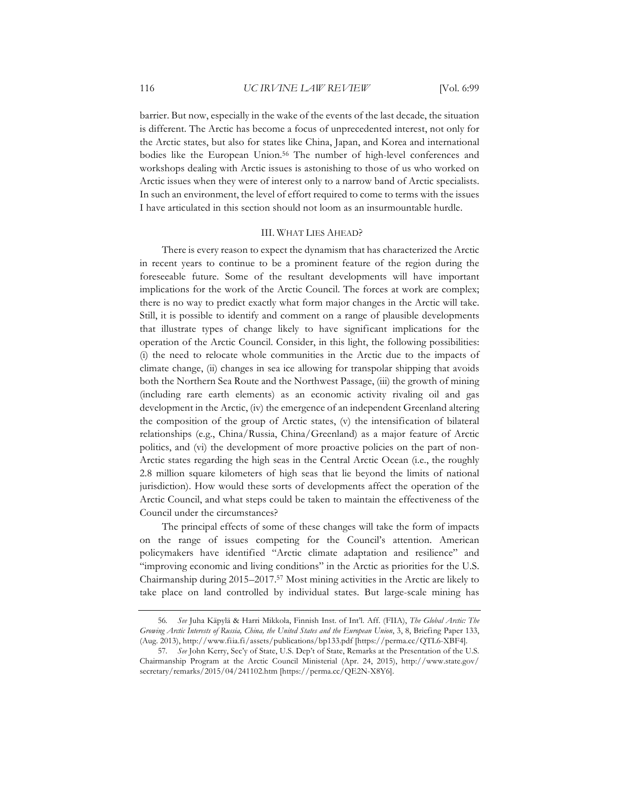barrier. But now, especially in the wake of the events of the last decade, the situation is different. The Arctic has become a focus of unprecedented interest, not only for the Arctic states, but also for states like China, Japan, and Korea and international bodies like the European Union.<sup>56</sup> The number of high-level conferences and workshops dealing with Arctic issues is astonishing to those of us who worked on Arctic issues when they were of interest only to a narrow band of Arctic specialists. In such an environment, the level of effort required to come to terms with the issues I have articulated in this section should not loom as an insurmountable hurdle.

# III. WHAT LIES AHEAD?

There is every reason to expect the dynamism that has characterized the Arctic in recent years to continue to be a prominent feature of the region during the foreseeable future. Some of the resultant developments will have important implications for the work of the Arctic Council. The forces at work are complex; there is no way to predict exactly what form major changes in the Arctic will take. Still, it is possible to identify and comment on a range of plausible developments that illustrate types of change likely to have significant implications for the operation of the Arctic Council. Consider, in this light, the following possibilities: (i) the need to relocate whole communities in the Arctic due to the impacts of climate change, (ii) changes in sea ice allowing for transpolar shipping that avoids both the Northern Sea Route and the Northwest Passage, (iii) the growth of mining (including rare earth elements) as an economic activity rivaling oil and gas development in the Arctic, (iv) the emergence of an independent Greenland altering the composition of the group of Arctic states, (v) the intensification of bilateral relationships (e.g., China/Russia, China/Greenland) as a major feature of Arctic politics, and (vi) the development of more proactive policies on the part of non-Arctic states regarding the high seas in the Central Arctic Ocean (i.e., the roughly 2.8 million square kilometers of high seas that lie beyond the limits of national jurisdiction). How would these sorts of developments affect the operation of the Arctic Council, and what steps could be taken to maintain the effectiveness of the Council under the circumstances?

The principal effects of some of these changes will take the form of impacts on the range of issues competing for the Council's attention. American policymakers have identified "Arctic climate adaptation and resilience" and "improving economic and living conditions" in the Arctic as priorities for the U.S. Chairmanship during 2015–2017.57 Most mining activities in the Arctic are likely to take place on land controlled by individual states. But large-scale mining has

<sup>56</sup>*. See* Juha Käpylä & Harri Mikkola, Finnish Inst. of Int'l. Aff. (FIIA), *The Global Arctic: The Growing Arctic Interests of Russia, China, the United States and the European Union*, 3, 8, Briefing Paper 133, (Aug. 2013), http://www.fiia.fi/assets/publications/bp133.pdf [https://perma.cc/QTL6-XBF4].

<sup>57</sup>*. See* John Kerry, Sec'y of State, U.S. Dep't of State, Remarks at the Presentation of the U.S. Chairmanship Program at the Arctic Council Ministerial (Apr. 24, 2015), http://www.state.gov/ secretary/remarks/2015/04/241102.htm [https://perma.cc/QE2N-X8Y6].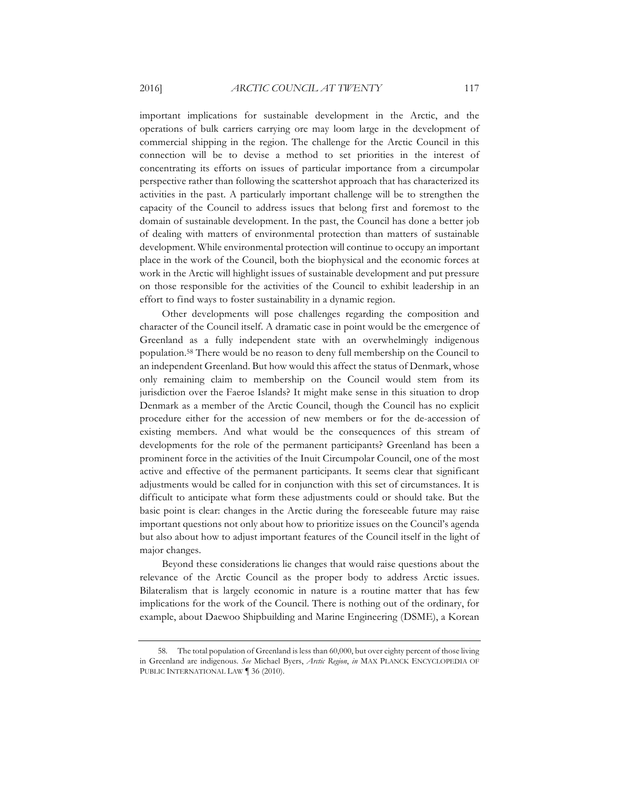important implications for sustainable development in the Arctic, and the operations of bulk carriers carrying ore may loom large in the development of commercial shipping in the region. The challenge for the Arctic Council in this connection will be to devise a method to set priorities in the interest of concentrating its efforts on issues of particular importance from a circumpolar perspective rather than following the scattershot approach that has characterized its activities in the past. A particularly important challenge will be to strengthen the capacity of the Council to address issues that belong first and foremost to the domain of sustainable development. In the past, the Council has done a better job of dealing with matters of environmental protection than matters of sustainable development. While environmental protection will continue to occupy an important place in the work of the Council, both the biophysical and the economic forces at work in the Arctic will highlight issues of sustainable development and put pressure on those responsible for the activities of the Council to exhibit leadership in an effort to find ways to foster sustainability in a dynamic region.

Other developments will pose challenges regarding the composition and character of the Council itself. A dramatic case in point would be the emergence of Greenland as a fully independent state with an overwhelmingly indigenous population.58 There would be no reason to deny full membership on the Council to an independent Greenland. But how would this affect the status of Denmark, whose only remaining claim to membership on the Council would stem from its jurisdiction over the Faeroe Islands? It might make sense in this situation to drop Denmark as a member of the Arctic Council, though the Council has no explicit procedure either for the accession of new members or for the de-accession of existing members. And what would be the consequences of this stream of developments for the role of the permanent participants? Greenland has been a prominent force in the activities of the Inuit Circumpolar Council, one of the most active and effective of the permanent participants. It seems clear that significant adjustments would be called for in conjunction with this set of circumstances. It is difficult to anticipate what form these adjustments could or should take. But the basic point is clear: changes in the Arctic during the foreseeable future may raise important questions not only about how to prioritize issues on the Council's agenda but also about how to adjust important features of the Council itself in the light of major changes.

Beyond these considerations lie changes that would raise questions about the relevance of the Arctic Council as the proper body to address Arctic issues. Bilateralism that is largely economic in nature is a routine matter that has few implications for the work of the Council. There is nothing out of the ordinary, for example, about Daewoo Shipbuilding and Marine Engineering (DSME), a Korean

<sup>58.</sup> The total population of Greenland is less than 60,000, but over eighty percent of those living in Greenland are indigenous. *See* Michael Byers, *Arctic Region*, *in* MAX PLANCK ENCYCLOPEDIA OF PUBLIC INTERNATIONAL LAW ¶ 36 (2010).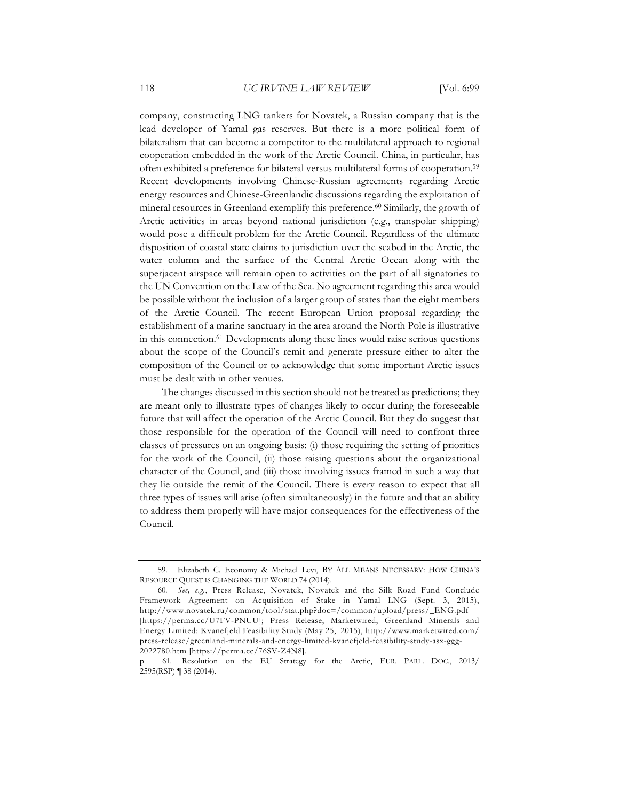company, constructing LNG tankers for Novatek, a Russian company that is the lead developer of Yamal gas reserves. But there is a more political form of bilateralism that can become a competitor to the multilateral approach to regional cooperation embedded in the work of the Arctic Council. China, in particular, has often exhibited a preference for bilateral versus multilateral forms of cooperation.59 Recent developments involving Chinese-Russian agreements regarding Arctic energy resources and Chinese-Greenlandic discussions regarding the exploitation of mineral resources in Greenland exemplify this preference.<sup>60</sup> Similarly, the growth of Arctic activities in areas beyond national jurisdiction (e.g., transpolar shipping) would pose a difficult problem for the Arctic Council. Regardless of the ultimate disposition of coastal state claims to jurisdiction over the seabed in the Arctic, the water column and the surface of the Central Arctic Ocean along with the superjacent airspace will remain open to activities on the part of all signatories to the UN Convention on the Law of the Sea. No agreement regarding this area would be possible without the inclusion of a larger group of states than the eight members of the Arctic Council. The recent European Union proposal regarding the establishment of a marine sanctuary in the area around the North Pole is illustrative in this connection.61 Developments along these lines would raise serious questions about the scope of the Council's remit and generate pressure either to alter the composition of the Council or to acknowledge that some important Arctic issues must be dealt with in other venues.

The changes discussed in this section should not be treated as predictions; they are meant only to illustrate types of changes likely to occur during the foreseeable future that will affect the operation of the Arctic Council. But they do suggest that those responsible for the operation of the Council will need to confront three classes of pressures on an ongoing basis: (i) those requiring the setting of priorities for the work of the Council, (ii) those raising questions about the organizational character of the Council, and (iii) those involving issues framed in such a way that they lie outside the remit of the Council. There is every reason to expect that all three types of issues will arise (often simultaneously) in the future and that an ability to address them properly will have major consequences for the effectiveness of the Council.

<sup>59.</sup> Elizabeth C. Economy & Michael Levi, BY ALL MEANS NECESSARY: HOW CHINA'S RESOURCE QUEST IS CHANGING THE WORLD 74 (2014).

<sup>60</sup>*. See, e.g.*, Press Release, Novatek, Novatek and the Silk Road Fund Conclude Framework Agreement on Acquisition of Stake in Yamal LNG (Sept. 3, 2015), http://www.novatek.ru/common/tool/stat.php?doc=/common/upload/press/\_ENG.pdf [https://perma.cc/U7FV-PNUU]; Press Release, Marketwired, Greenland Minerals and Energy Limited: Kvanefjeld Feasibility Study (May 25, 2015), http://www.marketwired.com/ press-release/greenland-minerals-and-energy-limited-kvanefjeld-feasibility-study-asx-ggg-2022780.htm [https://perma.cc/76SV-Z4N8].

p 61. Resolution on the EU Strategy for the Arctic, EUR. PARL. DOC., 2013/ 2595(RSP) ¶ 38 (2014).